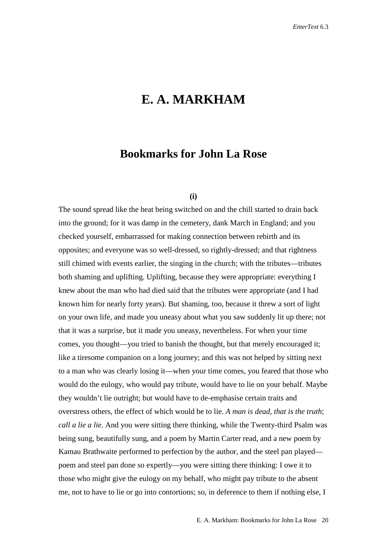## **E. A. MARKHAM**

## **Bookmarks for John La Rose**

## **(i)**

The sound spread like the heat being switched on and the chill started to drain back into the ground; for it was damp in the cemetery, dank March in England; and you checked yourself, embarrassed for making connection between rebirth and its opposites; and everyone was so well-dressed, so rightly-dressed; and that rightness still chimed with events earlier, the singing in the church; with the tributes—tributes both shaming and uplifting. Uplifting, because they were appropriate: everything I knew about the man who had died said that the tributes were appropriate (and I had known him for nearly forty years). But shaming, too, because it threw a sort of light on your own life, and made you uneasy about what you saw suddenly lit up there; not that it was a surprise, but it made you uneasy, nevertheless. For when your time comes, you thought—you tried to banish the thought, but that merely encouraged it; like a tiresome companion on a long journey; and this was not helped by sitting next to a man who was clearly losing it—when your time comes, you feared that those who would do the eulogy, who would pay tribute, would have to lie on your behalf. Maybe they wouldn't lie outright; but would have to de-emphasise certain traits and overstress others, the effect of which would be to lie. *A man is dead*, *that is the truth*; *call a lie a lie*. And you were sitting there thinking, while the Twenty-third Psalm was being sung, beautifully sung, and a poem by Martin Carter read, and a new poem by Kamau Brathwaite performed to perfection by the author, and the steel pan played poem and steel pan done so expertly—you were sitting there thinking: I owe it to those who might give the eulogy on my behalf, who might pay tribute to the absent me, not to have to lie or go into contortions; so, in deference to them if nothing else, I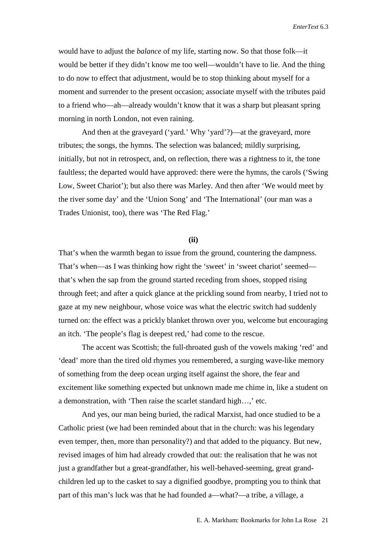would have to adjust the *balance* of my life, starting now*.* So that those folk—it would be better if they didn't know me too well—wouldn't have to lie. And the thing to do now to effect that adjustment, would be to stop thinking about myself for a moment and surrender to the present occasion; associate myself with the tributes paid to a friend who—ah—already wouldn't know that it was a sharp but pleasant spring morning in north London, not even raining.

And then at the graveyard ('yard.' Why 'yard'?)—at the graveyard, more tributes; the songs, the hymns. The selection was balanced; mildly surprising, initially, but not in retrospect, and, on reflection, there was a rightness to it, the tone faultless; the departed would have approved: there were the hymns, the carols ('Swing Low, Sweet Chariot'); but also there was Marley. And then after 'We would meet by the river some day' and the 'Union Song' and 'The International' (our man was a Trades Unionist, too), there was 'The Red Flag.'

**(ii)**

That's when the warmth began to issue from the ground, countering the dampness. That's when—as I was thinking how right the 'sweet' in 'sweet chariot' seemed that's when the sap from the ground started receding from shoes, stopped rising through feet; and after a quick glance at the prickling sound from nearby, I tried not to gaze at my new neighbour, whose voice was what the electric switch had suddenly turned on: the effect was a prickly blanket thrown over you, welcome but encouraging an itch. 'The people's flag is deepest red,' had come to the rescue.

The accent was Scottish; the full-throated gush of the vowels making 'red' and 'dead' more than the tired old rhymes you remembered, a surging wave-like memory of something from the deep ocean urging itself against the shore, the fear and excitement like something expected but unknown made me chime in, like a student on a demonstration, with 'Then raise the scarlet standard high…,' etc.

And yes, our man being buried, the radical Marxist, had once studied to be a Catholic priest (we had been reminded about that in the church: was his legendary even temper, then, more than personality?) and that added to the piquancy. But new, revised images of him had already crowded that out: the realisation that he was not just a grandfather but a great-grandfather, his well-behaved-seeming, great grandchildren led up to the casket to say a dignified goodbye, prompting you to think that part of this man's luck was that he had founded a—what?—a tribe, a village, a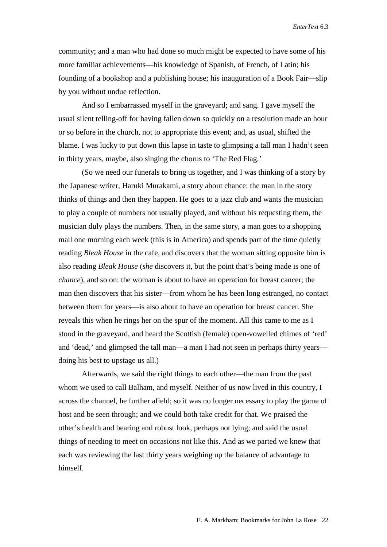community; and a man who had done so much might be expected to have some of his more familiar achievements—his knowledge of Spanish, of French, of Latin; his founding of a bookshop and a publishing house; his inauguration of a Book Fair—slip by you without undue reflection.

And so I embarrassed myself in the graveyard; and sang. I gave myself the usual silent telling-off for having fallen down so quickly on a resolution made an hour or so before in the church, not to appropriate this event; and, as usual, shifted the blame. I was lucky to put down this lapse in taste to glimpsing a tall man I hadn't seen in thirty years, maybe, also singing the chorus to 'The Red Flag.'

(So we need our funerals to bring us together, and I was thinking of a story by the Japanese writer, Haruki Murakami, a story about chance: the man in the story thinks of things and then they happen. He goes to a jazz club and wants the musician to play a couple of numbers not usually played, and without his requesting them, the musician duly plays the numbers. Then, in the same story, a man goes to a shopping mall one morning each week (this is in America) and spends part of the time quietly reading *Bleak House* in the cafe, and discovers that the woman sitting opposite him is also reading *Bleak House* (*she* discovers it, but the point that's being made is one of *chance*), and so on: the woman is about to have an operation for breast cancer; the man then discovers that his sister—from whom he has been long estranged, no contact between them for years—is also about to have an operation for breast cancer. She reveals this when he rings her on the spur of the moment. All this came to me as I stood in the graveyard, and heard the Scottish (female) open-vowelled chimes of 'red' and 'dead,' and glimpsed the tall man—a man I had not seen in perhaps thirty years doing his best to upstage us all.)

Afterwards, we said the right things to each other—the man from the past whom we used to call Balham, and myself. Neither of us now lived in this country, I across the channel, he further afield; so it was no longer necessary to play the game of host and be seen through; and we could both take credit for that. We praised the other's health and bearing and robust look, perhaps not lying; and said the usual things of needing to meet on occasions not like this. And as we parted we knew that each was reviewing the last thirty years weighing up the balance of advantage to himself.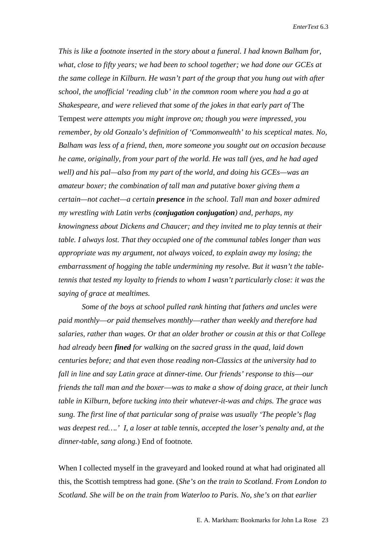*This is like a footnote inserted in the story about a funeral. I had known Balham for, what, close to fifty years; we had been to school together; we had done our GCEs at the same college in Kilburn. He wasn't part of the group that you hung out with after school, the unofficial 'reading club' in the common room where you had a go at Shakespeare, and were relieved that some of the jokes in that early part of The* Tempest *were attempts you might improve on; though you were impressed, you remember, by old Gonzalo's definition of 'Commonwealth' to his sceptical mates. No, Balham was less of a friend, then, more someone you sought out on occasion because he came, originally, from your part of the world. He was tall (yes, and he had aged well) and his pal—also from my part of the world, and doing his GCEs—was an amateur boxer; the combination of tall man and putative boxer giving them a certain—not cachet—a certain presence in the school. Tall man and boxer admired my wrestling with Latin verbs (conjugation conjugation) and, perhaps, my knowingness about Dickens and Chaucer; and they invited me to play tennis at their table. I always lost. That they occupied one of the communal tables longer than was appropriate was my argument, not always voiced, to explain away my losing; the embarrassment of hogging the table undermining my resolve. But it wasn't the tabletennis that tested my loyalty to friends to whom I wasn't particularly close: it was the saying of grace at mealtimes.*

*Some of the boys at school pulled rank hinting that fathers and uncles were paid monthly*—*or paid themselves monthly*—*rather than weekly and therefore had salaries, rather than wages. Or that an older brother or cousin at this or that College had already been fined for walking on the sacred grass in the quad, laid down centuries before; and that even those reading non-Classics at the university had to fall in line and say Latin grace at dinner-time. Our friends' response to this*—*our friends the tall man and the boxer*—*was to make a show of doing grace, at their lunch table in Kilburn, before tucking into their whatever-it-was and chips. The grace was sung. The first line of that particular song of praise was usually 'The people's flag was deepest red….' I, a loser at table tennis, accepted the loser's penalty and, at the dinner-table, sang along.*) End of footnote*.* 

When I collected myself in the graveyard and looked round at what had originated all this, the Scottish temptress had gone. (*She's on the train to Scotland. From London to Scotland. She will be on the train from Waterloo to Paris. No, she's on that earlier*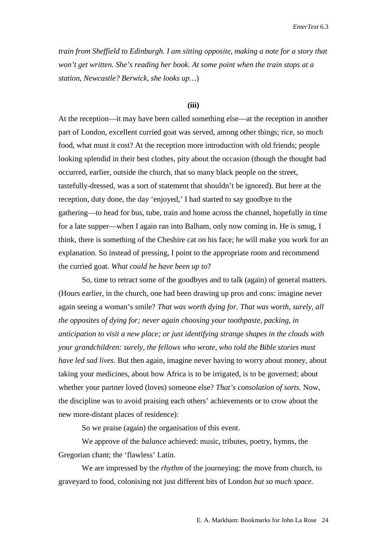*train from Sheffield to Edinburgh. I am sitting opposite, making a note for a story that won't get written. She's reading her book. At some point when the train stops at a station, Newcastle? Berwick, she looks up…*)

## **(iii)**

At the reception—it may have been called something else—at the reception in another part of London, excellent curried goat was served, among other things; rice, so much food, what must it cost? At the reception more introduction with old friends; people looking splendid in their best clothes, pity about the occasion (though the thought had occurred, earlier, outside the church, that so many black people on the street, tastefully-dressed, was a sort of statement that shouldn't be ignored). But here at the reception, duty done, the day 'enjoyed,' I had started to say goodbye to the gathering—to head for bus, tube, train and home across the channel, hopefully in time for a late supper—when I again ran into Balham, only now coming in. He is smug, I think, there is something of the Cheshire cat on his face; he will make you work for an explanation. So instead of pressing, I point to the appropriate room and recommend the curried goat. *What could he have been up to*?

So, time to retract some of the goodbyes and to talk (again) of general matters. (Hours earlier, in the church, one had been drawing up pros and cons: imagine never again seeing a woman's smile? *That was worth dying for. That was worth, surely, all the opposites of dying for; never again choosing your toothpaste, packing, in anticipation to visit a new place; or just identifying strange shapes in the clouds with your grandchildren: surely, the fellows who wrote, who told the Bible stories must have led sad lives.* But then again, imagine never having to worry about money, about taking your medicines, about how Africa is to be irrigated, is to be governed; about whether your partner loved (loves) someone else? *That's consolation of sorts.* Now, the discipline was to avoid praising each others' achievements or to crow about the new more-distant places of residence):

So we praise (again) the organisation of this event.

We approve of the *balance* achieved: music, tributes, poetry, hymns, the Gregorian chant; the 'flawless' Latin.

We are impressed by the *rhythm* of the journeying: the move from church, to graveyard to food, colonising not just different bits of London *but so much space.*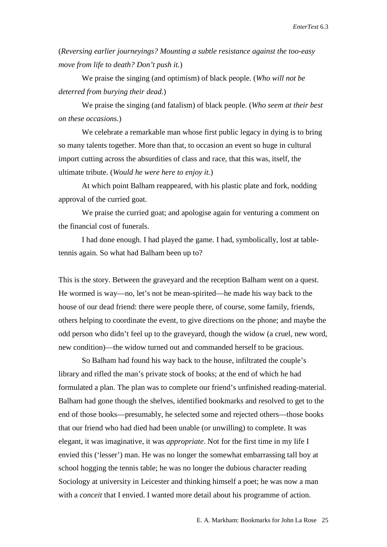(*Reversing earlier journeyings? Mounting a subtle resistance against the too-easy move from life to death? Don't push it.*)

We praise the singing (and optimism) of black people. (*Who will not be deterred from burying their dead.*)

We praise the singing (and fatalism) of black people. (*Who seem at their best on these occasions*.)

We celebrate a remarkable man whose first public legacy in dying is to bring so many talents together. More than that, to occasion an event so huge in cultural import cutting across the absurdities of class and race, that this was, itself, the ultimate tribute. (*Would he were here to enjoy it.*)

At which point Balham reappeared, with his plastic plate and fork, nodding approval of the curried goat.

We praise the curried goat; and apologise again for venturing a comment on the financial cost of funerals.

I had done enough. I had played the game. I had, symbolically, lost at tabletennis again. So what had Balham been up to?

This is the story. Between the graveyard and the reception Balham went on a quest. He wormed is way—no, let's not be mean-spirited—he made his way back to the house of our dead friend: there were people there, of course, some family, friends, others helping to coordinate the event, to give directions on the phone; and maybe the odd person who didn't feel up to the graveyard, though the widow (a cruel, new word, new condition)—the widow turned out and commanded herself to be gracious.

So Balham had found his way back to the house, infiltrated the couple's library and rifled the man's private stock of books; at the end of which he had formulated a plan. The plan was to complete our friend's unfinished reading-material. Balham had gone though the shelves, identified bookmarks and resolved to get to the end of those books—presumably, he selected some and rejected others—those books that our friend who had died had been unable (or unwilling) to complete. It was elegant, it was imaginative, it was *appropriate*. Not for the first time in my life I envied this ('lesser') man. He was no longer the somewhat embarrassing tall boy at school hogging the tennis table; he was no longer the dubious character reading Sociology at university in Leicester and thinking himself a poet; he was now a man with a *conceit* that I envied. I wanted more detail about his programme of action.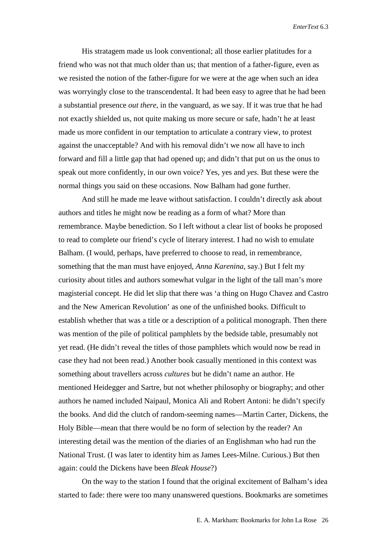His stratagem made us look conventional; all those earlier platitudes for a friend who was not that much older than us; that mention of a father-figure, even as we resisted the notion of the father-figure for we were at the age when such an idea was worryingly close to the transcendental. It had been easy to agree that he had been a substantial presence *out there*, in the vanguard, as we say. If it was true that he had not exactly shielded us, not quite making us more secure or safe, hadn't he at least made us more confident in our temptation to articulate a contrary view, to protest against the unacceptable? And with his removal didn't we now all have to inch forward and fill a little gap that had opened up; and didn't that put on us the onus to speak out more confidently, in our own voice? Yes, yes and *yes*. But these were the normal things you said on these occasions. Now Balham had gone further.

And still he made me leave without satisfaction. I couldn't directly ask about authors and titles he might now be reading as a form of what? More than remembrance. Maybe benediction. So I left without a clear list of books he proposed to read to complete our friend's cycle of literary interest. I had no wish to emulate Balham. (I would, perhaps, have preferred to choose to read, in remembrance, something that the man must have enjoyed, *Anna Karenina*, say.) But I felt my curiosity about titles and authors somewhat vulgar in the light of the tall man's more magisterial concept. He did let slip that there was 'a thing on Hugo Chavez and Castro and the New American Revolution' as one of the unfinished books. Difficult to establish whether that was a title or a description of a political monograph. Then there was mention of the pile of political pamphlets by the bedside table, presumably not yet read. (He didn't reveal the titles of those pamphlets which would now be read in case they had not been read.) Another book casually mentioned in this context was something about travellers across *cultures* but he didn't name an author. He mentioned Heidegger and Sartre, but not whether philosophy or biography; and other authors he named included Naipaul, Monica Ali and Robert Antoni: he didn't specify the books. And did the clutch of random-seeming names—Martin Carter, Dickens, the Holy Bible—mean that there would be no form of selection by the reader? An interesting detail was the mention of the diaries of an Englishman who had run the National Trust. (I was later to identity him as James Lees-Milne. Curious.) But then again: could the Dickens have been *Bleak House*?)

On the way to the station I found that the original excitement of Balham's idea started to fade: there were too many unanswered questions. Bookmarks are sometimes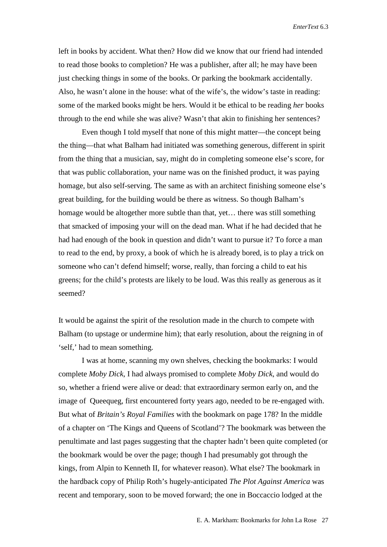left in books by accident. What then? How did we know that our friend had intended to read those books to completion? He was a publisher, after all; he may have been just checking things in some of the books. Or parking the bookmark accidentally. Also, he wasn't alone in the house: what of the wife's, the widow's taste in reading: some of the marked books might be hers. Would it be ethical to be reading *her* books through to the end while she was alive? Wasn't that akin to finishing her sentences?

Even though I told myself that none of this might matter—the concept being the thing—that what Balham had initiated was something generous, different in spirit from the thing that a musician, say, might do in completing someone else's score, for that was public collaboration, your name was on the finished product, it was paying homage, but also self-serving. The same as with an architect finishing someone else's great building, for the building would be there as witness. So though Balham's homage would be altogether more subtle than that, yet… there was still something that smacked of imposing your will on the dead man. What if he had decided that he had had enough of the book in question and didn't want to pursue it? To force a man to read to the end, by proxy, a book of which he is already bored, is to play a trick on someone who can't defend himself; worse, really, than forcing a child to eat his greens; for the child's protests are likely to be loud. Was this really as generous as it seemed?

It would be against the spirit of the resolution made in the church to compete with Balham (to upstage or undermine him); that early resolution, about the reigning in of 'self,' had to mean something.

I was at home, scanning my own shelves, checking the bookmarks: I would complete *Moby Dick*, I had always promised to complete *Moby Dick*, and would do so, whether a friend were alive or dead: that extraordinary sermon early on, and the image of Queequeg, first encountered forty years ago, needed to be re-engaged with. But what of *Britain's Royal Families* with the bookmark on page 178? In the middle of a chapter on 'The Kings and Queens of Scotland'? The bookmark was between the penultimate and last pages suggesting that the chapter hadn't been quite completed (or the bookmark would be over the page; though I had presumably got through the kings, from Alpin to Kenneth II, for whatever reason). What else? The bookmark in the hardback copy of Philip Roth's hugely-anticipated *The Plot Against America* was recent and temporary, soon to be moved forward; the one in Boccaccio lodged at the